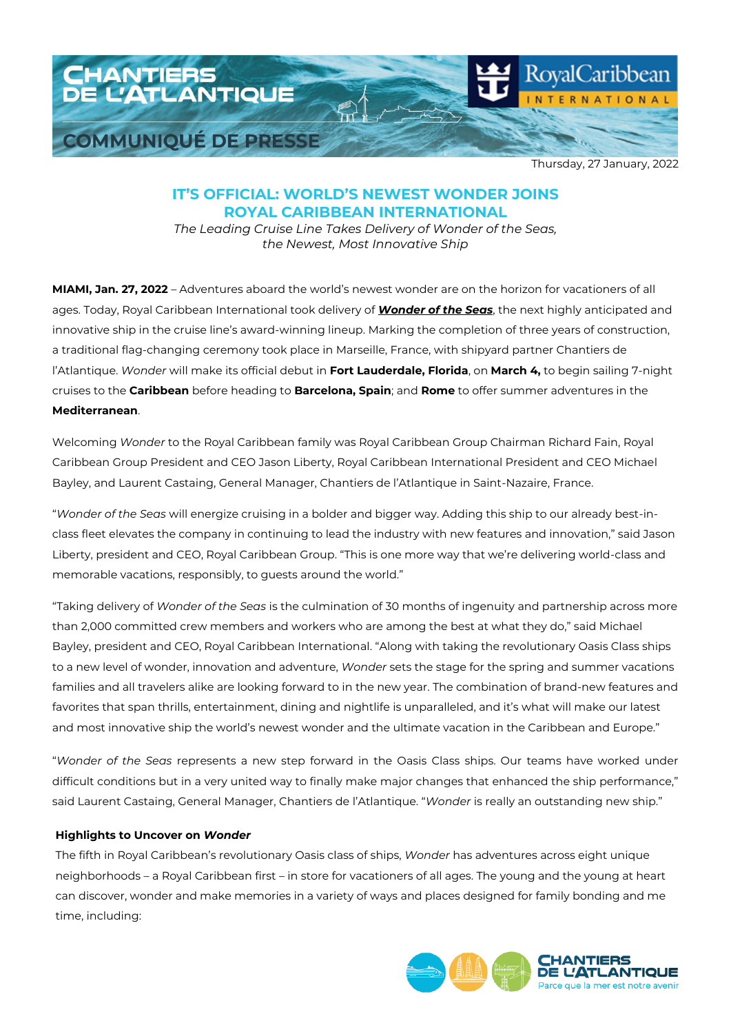

Thursday, 27 January, 2022

## **IT'S OFFICIAL: WORLD'S NEWEST WONDER JOINS ROYAL CARIBBEAN INTERNATIONAL**

*The Leading Cruise Line Takes Delivery of Wonder of the Seas, the Newest, Most Innovative Ship*

**MIAMI, Jan. 27, 2022** – Adventures aboard the world's newest wonder are on the horizon for vacationers of all ages. Today, Royal Caribbean International took delivery of *[Wonder of the Seas](https://www.royalcaribbean.com/cruise-ships/wonder-of-the-seas?ecid=pr_int_pblc_r_wb_3338)*, the next highly anticipated and innovative ship in the cruise line's award-winning lineup. Marking the completion of three years of construction, a traditional flag-changing ceremony took place in Marseille, France, with shipyard partner Chantiers de l'Atlantique. *Wonder* will make its official debut in **Fort Lauderdale, Florida**, on **March 4,** to begin sailing 7-night cruises to the **Caribbean** before heading to **Barcelona, Spain**; and **Rome** to offer summer adventures in the **Mediterranean**.

Welcoming *Wonder* to the Royal Caribbean family was Royal Caribbean Group Chairman Richard Fain, Royal Caribbean Group President and CEO Jason Liberty, Royal Caribbean International President and CEO Michael Bayley, and Laurent Castaing, General Manager, Chantiers de l'Atlantique in Saint-Nazaire, France.

"*Wonder of the Seas* will energize cruising in a bolder and bigger way. Adding this ship to our already best-inclass fleet elevates the company in continuing to lead the industry with new features and innovation," said Jason Liberty, president and CEO, Royal Caribbean Group. "This is one more way that we're delivering world-class and memorable vacations, responsibly, to guests around the world."

"Taking delivery of *Wonder of the Seas* is the culmination of 30 months of ingenuity and partnership across more than 2,000 committed crew members and workers who are among the best at what they do," said Michael Bayley, president and CEO, Royal Caribbean International. "Along with taking the revolutionary Oasis Class ships to a new level of wonder, innovation and adventure, *Wonder* sets the stage for the spring and summer vacations families and all travelers alike are looking forward to in the new year. The combination of brand-new features and favorites that span thrills, entertainment, dining and nightlife is unparalleled, and it's what will make our latest and most innovative ship the world's newest wonder and the ultimate vacation in the Caribbean and Europe."

"*Wonder of the Seas* represents a new step forward in the Oasis Class ships. Our teams have worked under difficult conditions but in a very united way to finally make major changes that enhanced the ship performance," said Laurent Castaing, General Manager, Chantiers de l'Atlantique. "*Wonder* is really an outstanding new ship."

### **Highlights to Uncover on** *Wonder*

The fifth in Royal Caribbean's revolutionary Oasis class of ships, *Wonder* has adventures across eight unique neighborhoods – a Royal Caribbean first – in store for vacationers of all ages. The young and the young at heart can discover, wonder and make memories in a variety of ways and places designed for family bonding and me time, including:

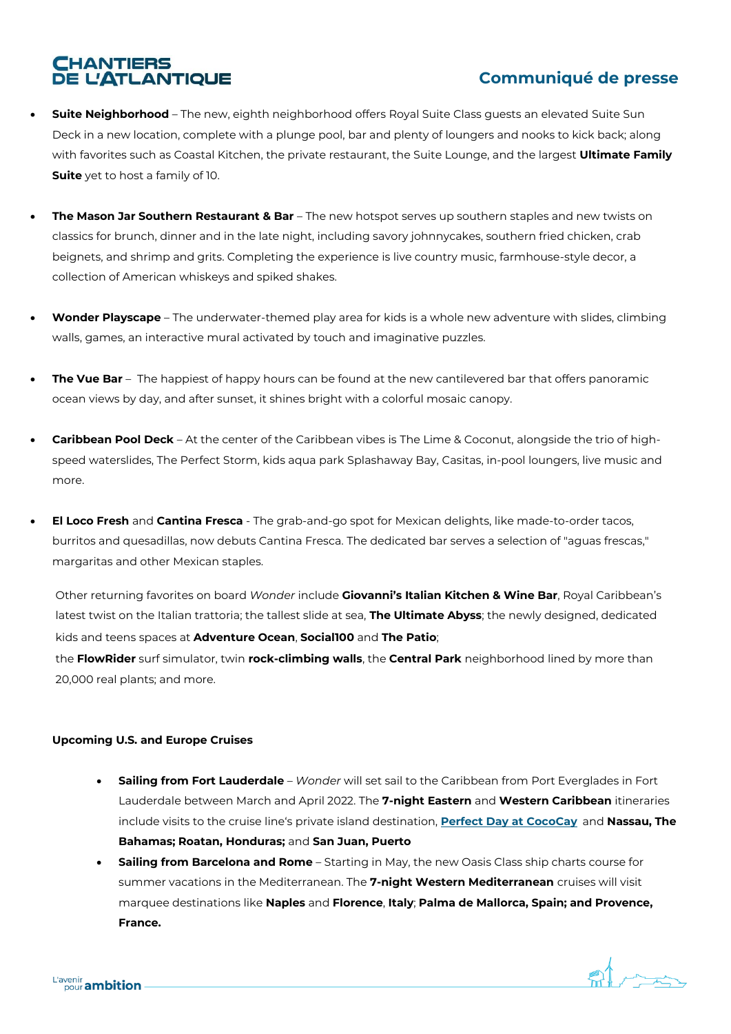# **CHANTIERS<br>DE L'ATLANTIQUE**

## **Communiqué de presse**

- **Suite Neighborhood** The new, eighth neighborhood offers Royal Suite Class guests an elevated Suite Sun Deck in a new location, complete with a plunge pool, bar and plenty of loungers and nooks to kick back; along with favorites such as Coastal Kitchen, the private restaurant, the Suite Lounge, and the largest **Ultimate Family Suite** yet to host a family of 10.
- **The Mason Jar Southern Restaurant & Bar** The new hotspot serves up southern staples and new twists on classics for brunch, dinner and in the late night, including savory johnnycakes, southern fried chicken, crab beignets, and shrimp and grits. Completing the experience is live country music, farmhouse-style decor, a collection of American whiskeys and spiked shakes.
- **Wonder Playscape**  The underwater-themed play area for kids is a whole new adventure with slides, climbing walls, games, an interactive mural activated by touch and imaginative puzzles.
- **The Vue Bar** The happiest of happy hours can be found at the new cantilevered bar that offers panoramic ocean views by day, and after sunset, it shines bright with a colorful mosaic canopy.
- **Caribbean Pool Deck** At the center of the Caribbean vibes is The Lime & Coconut, alongside the trio of highspeed waterslides, The Perfect Storm, kids aqua park Splashaway Bay, Casitas, in-pool loungers, live music and more.
- **El Loco Fresh** and **Cantina Fresca** The grab-and-go spot for Mexican delights, like made-to-order tacos, burritos and quesadillas, now debuts Cantina Fresca. The dedicated bar serves a selection of "aguas frescas," margaritas and other Mexican staples.

Other returning favorites on board *Wonder* include **Giovanni's Italian Kitchen & Wine Bar**, Royal Caribbean's latest twist on the Italian trattoria; the tallest slide at sea, **The Ultimate Abyss**; the newly designed, dedicated kids and teens spaces at **Adventure Ocean**, **Social100** and **The Patio**;

the **FlowRider** surf simulator, twin **rock-climbing walls**, the **Central Park** neighborhood lined by more than 20,000 real plants; and more.

## **Upcoming U.S. and Europe Cruises**

- **Sailing from Fort Lauderdale** *Wonder* will set sail to the Caribbean from Port Everglades in Fort Lauderdale between March and April 2022. The **7-night Eastern** and **Western Caribbean** itineraries include visits to the cruise line's private island destination, **[Perfect Day at CocoCay](https://www.royalcaribbean.com/cococay-cruises?ecid=pr_int_pblc_r_wb_3338)**, and **Nassau, The Bahamas; Roatan, Honduras;** and **San Juan, Puerto Rico.**
- **Sailing from Barcelona and Rome** Starting in May, the new Oasis Class ship charts course for summer vacations in the Mediterranean. The **7-night Western Mediterranean** cruises will visit marquee destinations like **Naples** and **Florence**, **Italy**; **Palma de Mallorca, Spain; and Provence, France.**